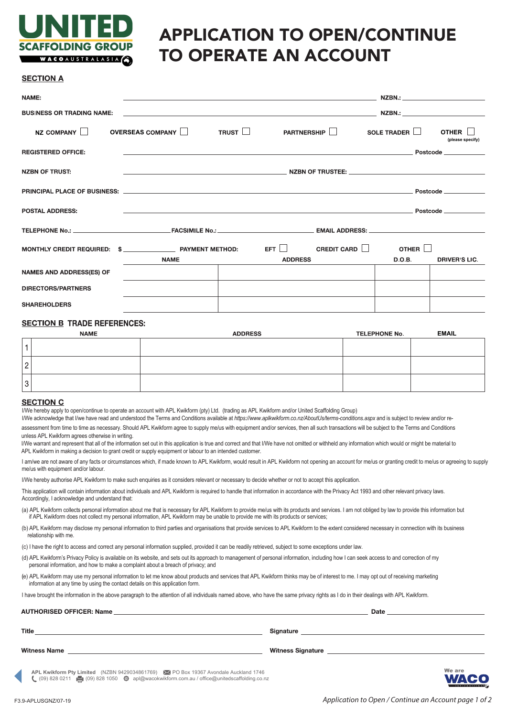

# APPLICATION TO OPEN/CONTINUE TO OPERATE AN ACCOUNT

## **SECTION A**

| NAME:                                                                                                                  | <u>in the contract of the contract of the contract of the contract of the contract of the contract of the contract of the contract of the contract of the contract of the contract of the contract of the contract of the contra</u> |                |                                           |        |                      |
|------------------------------------------------------------------------------------------------------------------------|--------------------------------------------------------------------------------------------------------------------------------------------------------------------------------------------------------------------------------------|----------------|-------------------------------------------|--------|----------------------|
| <b>BUSINESS OR TRADING NAME:</b>                                                                                       |                                                                                                                                                                                                                                      |                |                                           |        |                      |
| $NZ$ COMPANY $  $                                                                                                      | <b>OVERSEAS COMPANY II</b>                                                                                                                                                                                                           |                | TRUST   PARTNERSHIP   SOLE TRADER   OTHER |        | (please specify)     |
| <b>REGISTERED OFFICE:</b>                                                                                              | <u> Postcode de la contrada de la contrada de la contrada de la contrada de la contrada de la contrada de la con</u>                                                                                                                 |                |                                           |        |                      |
| <b>NZBN OF TRUST:</b>                                                                                                  |                                                                                                                                                                                                                                      |                |                                           |        |                      |
|                                                                                                                        |                                                                                                                                                                                                                                      |                |                                           |        |                      |
| <b>POSTAL ADDRESS:</b>                                                                                                 |                                                                                                                                                                                                                                      |                |                                           |        |                      |
|                                                                                                                        |                                                                                                                                                                                                                                      |                |                                           |        |                      |
| MONTHLY CREDIT REQUIRED: $\quad$ $\quad$ $\quad$ PAYMENT METHOD: $\quad$ EFT $\quad$ CREDIT CARD $\quad$ OTHER $\quad$ |                                                                                                                                                                                                                                      |                |                                           |        |                      |
|                                                                                                                        | <b>NAME</b>                                                                                                                                                                                                                          | <b>ADDRESS</b> |                                           | D.O.B. | <b>DRIVER'S LIC.</b> |
| <b>NAMES AND ADDRESS(ES) OF</b>                                                                                        |                                                                                                                                                                                                                                      |                |                                           |        |                      |
| <b>DIRECTORS/PARTNERS</b>                                                                                              |                                                                                                                                                                                                                                      |                |                                           |        |                      |
| <b>SHAREHOLDERS</b>                                                                                                    |                                                                                                                                                                                                                                      |                |                                           |        |                      |

# **SECTION B TRADE REFERENCES:**

|               | <b>NAME</b> | <b>ADDRESS</b> | <b>TELEPHONE No.</b> | <b>EMAIL</b> |
|---------------|-------------|----------------|----------------------|--------------|
|               |             |                |                      |              |
| ⌒<br>∼        |             |                |                      |              |
| $\Omega$<br>3 |             |                |                      |              |

#### **SECTION C**

I/We hereby apply to open/continue to operate an account with APL Kwikform (pty) Ltd. (trading as APL Kwikform and/or United Scaffolding Group)

I/We acknowledge that I/we have read and understood the Terms and Conditions available at *https://www.aplkwikform.co.nz/AboutUs/terms-conditions.aspx* and is subject to review and/or reassessment from time to time as necessary. Should APL Kwikform agree to supply me/us with equipment and/or services, then all such transactions will be subject to the Terms and Conditions unless APL Kwikform agrees otherwise in writing.

I/We warrant and represent that all of the information set out in this application is true and correct and that I/We have not omitted or withheld any information which would or might be material to APL Kwikform in making a decision to grant credit or supply equipment or labour to an intended customer.

I am/we are not aware of any facts or circumstances which, if made known to APL Kwikform, would result in APL Kwikform not opening an account for me/us or granting credit to me/us or agreeing to supply me/us with equipment and/or labour.

I/We hereby authorise APL Kwikform to make such enquiries as it considers relevant or necessary to decide whether or not to accept this application.

This application will contain information about individuals and APL Kwikform is required to handle that information in accordance with the Privacy Act 1993 and other relevant privacy laws. Accordingly, I acknowledge and understand that:

(a) APL Kwikform collects personal information about me that is necessary for APL Kwikform to provide me/us with its products and services. I am not obliged by law to provide this information but if APL Kwikform does not collect my personal information, APL Kwikform may be unable to provide me with its products or services;

(b) APL Kwikform may disclose my personal information to third parties and organisations that provide services to APL Kwikform to the extent considered necessary in connection with its business relationship with me.

(c) I have the right to access and correct any personal information supplied, provided it can be readily retrieved, subject to some exceptions under law.

(d) APL Kwikform's Privacy Policy is available on its website, and sets out its approach to management of personal information, including how I can seek access to and correction of my personal information, and how to make a complaint about a breach of privacy; and

(e) APL Kwikform may use my personal information to let me know about products and services that APL Kwikform thinks may be of interest to me. I may opt out of receiving marketing information at any time by using the contact details on this application form.

I have brought the information in the above paragraph to the attention of all individuals named above, who have the same privacy rights as I do in their dealings with APL Kwikform.

**AUTHORISED OFFICER: Name Date** Title Signature **Witness Name Witness Signature** 

**APL Kwikform Pty Limited** (NZBN 9429034861769) PO Box 19367 Avondale Auckland 1746 (09) 828 0211 (09) 828 1050 apl@wacokwikform.com.au / office@unitedscaffolding.co.nz